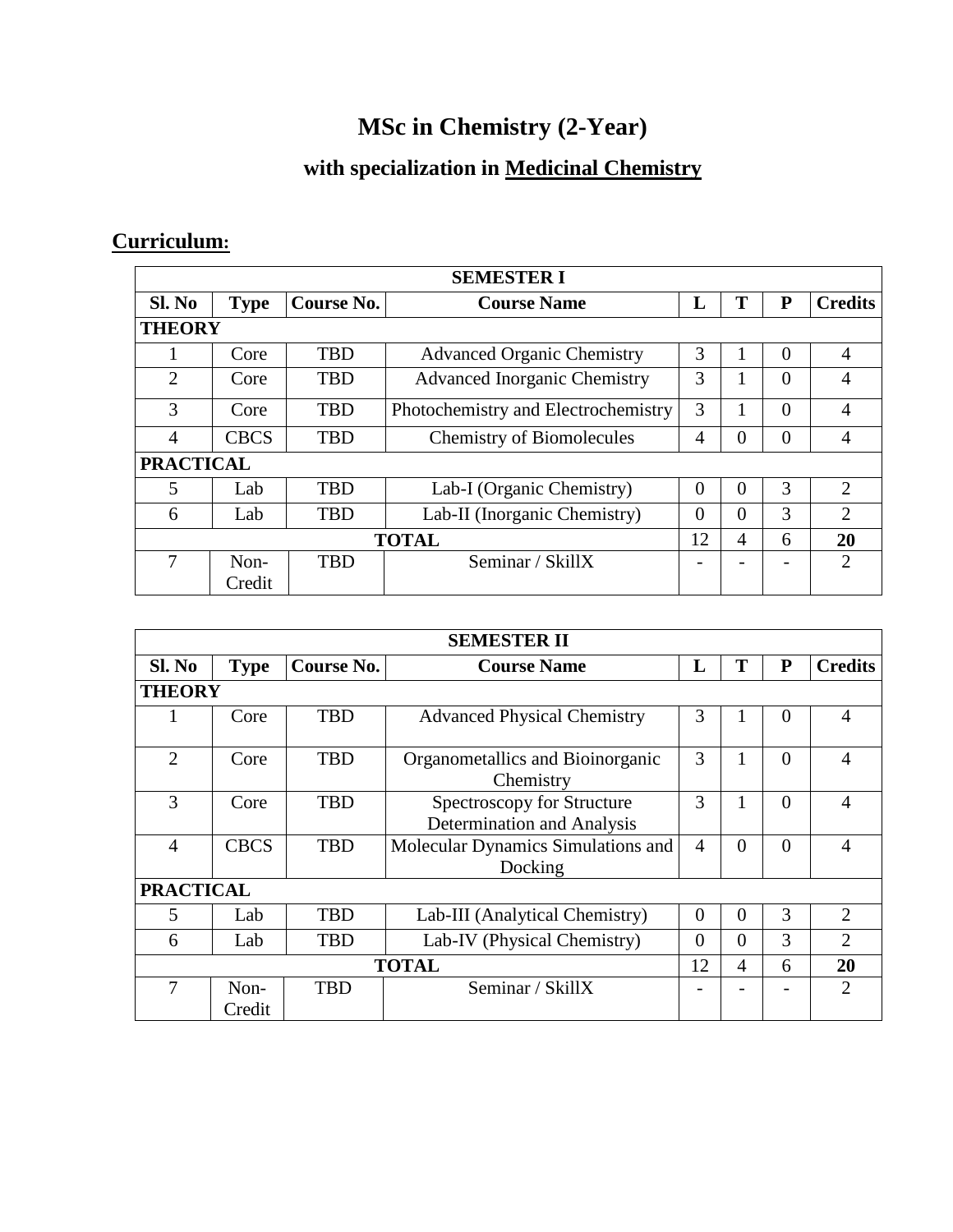## **MSc in Chemistry (2-Year)**

## **with specialization in Medicinal Chemistry**

## **Curriculum:**

| <b>SEMESTER I</b> |                  |            |                                     |    |          |   |                |  |  |  |
|-------------------|------------------|------------|-------------------------------------|----|----------|---|----------------|--|--|--|
| Sl. No            | <b>Type</b>      | Course No. | <b>Course Name</b>                  | L  | Т        | P | <b>Credits</b> |  |  |  |
|                   | <b>THEORY</b>    |            |                                     |    |          |   |                |  |  |  |
|                   | Core             | <b>TBD</b> | <b>Advanced Organic Chemistry</b>   | 3  |          | 0 | 4              |  |  |  |
| 2                 | Core             | <b>TBD</b> | <b>Advanced Inorganic Chemistry</b> | 3  |          | 0 | 4              |  |  |  |
| 3                 | Core             | <b>TBD</b> | Photochemistry and Electrochemistry | 3  |          | 0 | 4              |  |  |  |
| 4                 | <b>CBCS</b>      | <b>TBD</b> | <b>Chemistry of Biomolecules</b>    | 4  | $\Omega$ | 0 | 4              |  |  |  |
|                   | <b>PRACTICAL</b> |            |                                     |    |          |   |                |  |  |  |
| 5                 | Lab.             | <b>TBD</b> | Lab-I (Organic Chemistry)           | 0  | $\Omega$ | 3 | 2              |  |  |  |
| 6                 | Lab              | <b>TBD</b> | Lab-II (Inorganic Chemistry)        | 0  | $\Omega$ | 3 | $\overline{2}$ |  |  |  |
| <b>TOTAL</b>      |                  |            |                                     | 12 | 4        | 6 | 20             |  |  |  |
|                   | $Non-$           | <b>TBD</b> | Seminar / SkillX                    |    |          |   | 2              |  |  |  |
|                   | Credit           |            |                                     |    |          |   |                |  |  |  |

| <b>SEMESTER II</b> |                  |            |                                                          |                |          |                |                |  |  |
|--------------------|------------------|------------|----------------------------------------------------------|----------------|----------|----------------|----------------|--|--|
| Sl. No             | <b>Type</b>      | Course No. | <b>Course Name</b>                                       | L              | T        | P              | <b>Credits</b> |  |  |
|                    | <b>THEORY</b>    |            |                                                          |                |          |                |                |  |  |
|                    | Core             | <b>TBD</b> | <b>Advanced Physical Chemistry</b>                       | 3              |          | $\Omega$       | 4              |  |  |
| $\mathfrak{2}$     | Core             | <b>TBD</b> | Organometallics and Bioinorganic<br>Chemistry            | 3              |          | $\Omega$       | 4              |  |  |
| 3                  | Core             | <b>TBD</b> | Spectroscopy for Structure<br>Determination and Analysis | 3              |          | $\theta$       | 4              |  |  |
| 4                  | <b>CBCS</b>      | <b>TBD</b> | Molecular Dynamics Simulations and<br>Docking            | $\overline{4}$ | $\theta$ | $\overline{0}$ | 4              |  |  |
| <b>PRACTICAL</b>   |                  |            |                                                          |                |          |                |                |  |  |
| 5                  | Lab              | <b>TBD</b> | Lab-III (Analytical Chemistry)                           | $\theta$       | $\theta$ | 3              | 2              |  |  |
| 6                  | Lab              | <b>TBD</b> | Lab-IV (Physical Chemistry)                              | $\overline{0}$ | $\Omega$ | 3              | $\overline{2}$ |  |  |
| <b>TOTAL</b>       |                  |            |                                                          | 12             | 4        | 6              | 20             |  |  |
| 7                  | $Non-$<br>Credit | <b>TBD</b> | Seminar / SkillX                                         |                |          |                | $\mathfrak{D}$ |  |  |